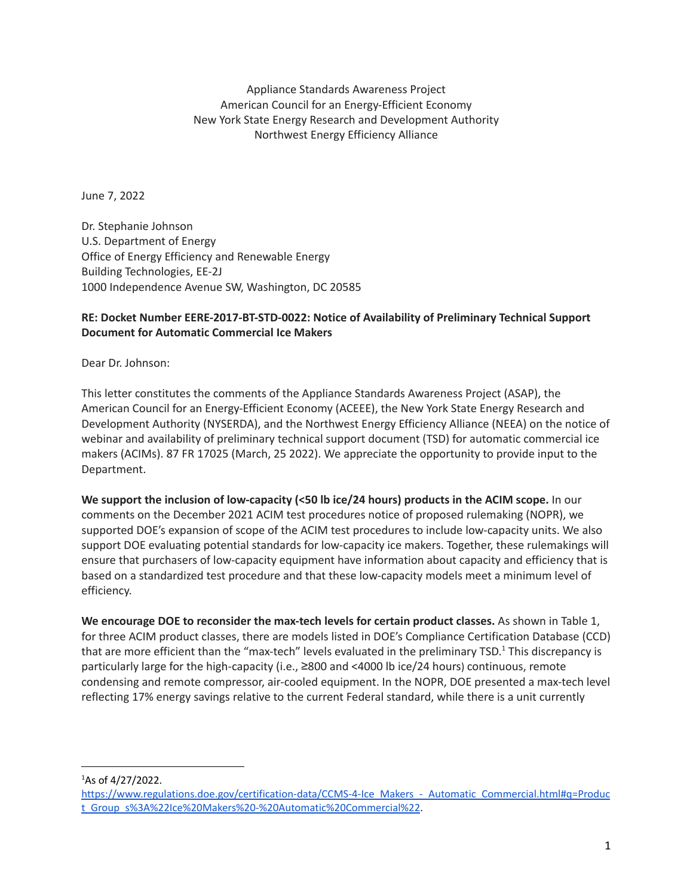Appliance Standards Awareness Project American Council for an Energy-Efficient Economy New York State Energy Research and Development Authority Northwest Energy Efficiency Alliance

June 7, 2022

Dr. Stephanie Johnson U.S. Department of Energy Office of Energy Efficiency and Renewable Energy Building Technologies, EE-2J 1000 Independence Avenue SW, Washington, DC 20585

## **RE: Docket Number EERE-2017-BT-STD-0022: Notice of Availability of Preliminary Technical Support Document for Automatic Commercial Ice Makers**

Dear Dr. Johnson:

This letter constitutes the comments of the Appliance Standards Awareness Project (ASAP), the American Council for an Energy-Efficient Economy (ACEEE), the New York State Energy Research and Development Authority (NYSERDA), and the Northwest Energy Efficiency Alliance (NEEA) on the notice of webinar and availability of preliminary technical support document (TSD) for automatic commercial ice makers (ACIMs). 87 FR 17025 (March, 25 2022). We appreciate the opportunity to provide input to the Department.

**We support the inclusion of low-capacity (<50 lb ice/24 hours) products in the ACIM scope.** In our comments on the December 2021 ACIM test procedures notice of proposed rulemaking (NOPR), we supported DOE's expansion of scope of the ACIM test procedures to include low-capacity units. We also support DOE evaluating potential standards for low-capacity ice makers. Together, these rulemakings will ensure that purchasers of low-capacity equipment have information about capacity and efficiency that is based on a standardized test procedure and that these low-capacity models meet a minimum level of efficiency.

**We encourage DOE to reconsider the max-tech levels for certain product classes.** As shown in Table 1, for three ACIM product classes, there are models listed in DOE's Compliance Certification Database (CCD) that are more efficient than the "max-tech" levels evaluated in the preliminary TSD.<sup>1</sup> This discrepancy is particularly large for the high-capacity (i.e., ≥800 and <4000 lb ice/24 hours) continuous, remote condensing and remote compressor, air-cooled equipment. In the NOPR, DOE presented a max-tech level reflecting 17% energy savings relative to the current Federal standard, while there is a unit currently

 $^{1}$ As of 4/27/2022.

[https://www.regulations.doe.gov/certification-data/CCMS-4-Ice\\_Makers\\_-\\_Automatic\\_Commercial.html#q=Produc](https://www.regulations.doe.gov/certification-data/CCMS-4-Ice_Makers_-_Automatic_Commercial.html#q=Product_Group_s%3A%22Ice%20Makers%20-%20Automatic%20Commercial%22) [t\\_Group\\_s%3A%22Ice%20Makers%20-%20Automatic%20Commercial%22](https://www.regulations.doe.gov/certification-data/CCMS-4-Ice_Makers_-_Automatic_Commercial.html#q=Product_Group_s%3A%22Ice%20Makers%20-%20Automatic%20Commercial%22).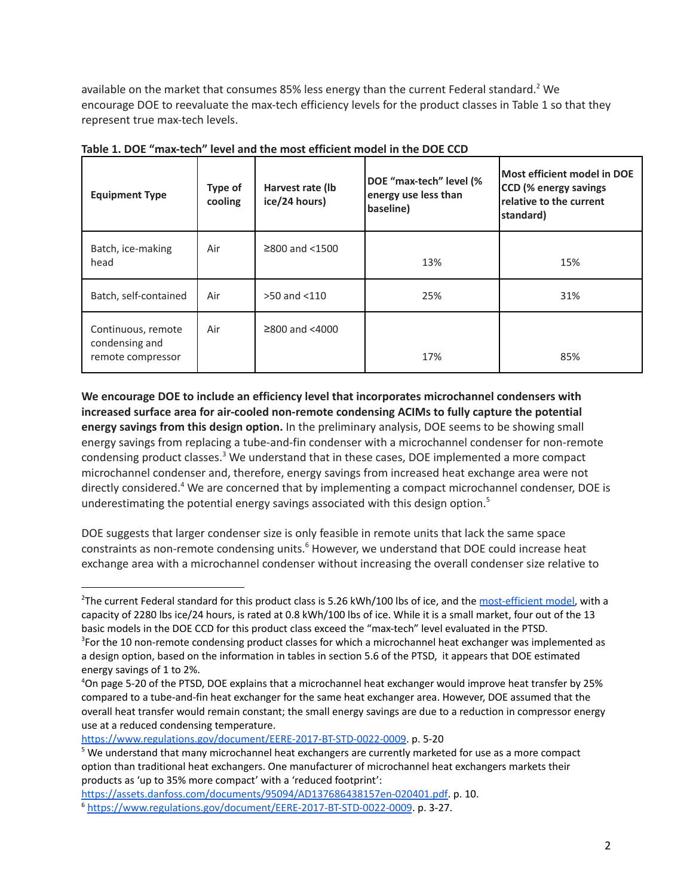available on the market that consumes 85% less energy than the current Federal standard. <sup>2</sup> We encourage DOE to reevaluate the max-tech efficiency levels for the product classes in Table 1 so that they represent true max-tech levels.

| <b>Equipment Type</b>                                     | Type of<br>cooling | Harvest rate (lb<br>ice/24 hours) | DOE "max-tech" level (%<br>energy use less than<br>baseline) | Most efficient model in DOE<br>CCD (% energy savings<br>relative to the current<br>standard) |
|-----------------------------------------------------------|--------------------|-----------------------------------|--------------------------------------------------------------|----------------------------------------------------------------------------------------------|
| Batch, ice-making<br>head                                 | Air                | $≥800$ and $<1500$                | 13%                                                          | 15%                                                                                          |
| Batch, self-contained                                     | Air                | $>50$ and $< 110$                 | 25%                                                          | 31%                                                                                          |
| Continuous, remote<br>condensing and<br>remote compressor | Air                | $≥800$ and $<4000$                | 17%                                                          | 85%                                                                                          |

**Table 1. DOE "max-tech" level and the most efficient model in the DOE CCD**

**We encourage DOE to include an efficiency level that incorporates microchannel condensers with increased surface area for air-cooled non-remote condensing ACIMs to fully capture the potential energy savings from this design option.** In the preliminary analysis, DOE seems to be showing small energy savings from replacing a tube-and-fin condenser with a microchannel condenser for non-remote condensing product classes.<sup>3</sup> We understand that in these cases, DOE implemented a more compact microchannel condenser and, therefore, energy savings from increased heat exchange area were not directly considered.<sup>4</sup> We are concerned that by implementing a compact microchannel condenser, DOE is underestimating the potential energy savings associated with this design option. 5

DOE suggests that larger condenser size is only feasible in remote units that lack the same space constraints as non-remote condensing units.<sup>6</sup> However, we understand that DOE could increase heat exchange area with a microchannel condenser without increasing the overall condenser size relative to

<https://www.regulations.gov/document/EERE-2017-BT-STD-0022-0009>. p. 5-20

<sup>&</sup>lt;sup>2</sup>The current Federal standard for this product class is 5.26 kWh/100 lbs of ice, and the [most-efficient](https://www.hoshizakiamerica.com/product/f-2001mlj/) model, with a capacity of 2280 lbs ice/24 hours, is rated at 0.8 kWh/100 lbs of ice. While it is a small market, four out of the 13 basic models in the DOE CCD for this product class exceed the "max-tech" level evaluated in the PTSD.

<sup>&</sup>lt;sup>3</sup>For the 10 non-remote condensing product classes for which a microchannel heat exchanger was implemented as a design option, based on the information in tables in section 5.6 of the PTSD, it appears that DOE estimated energy savings of 1 to 2%.

<sup>4</sup>On page 5-20 of the PTSD, DOE explains that a microchannel heat exchanger would improve heat transfer by 25% compared to a tube-and-fin heat exchanger for the same heat exchanger area. However, DOE assumed that the overall heat transfer would remain constant; the small energy savings are due to a reduction in compressor energy use at a reduced condensing temperature.

<sup>&</sup>lt;sup>5</sup> We understand that many microchannel heat exchangers are currently marketed for use as a more compact option than traditional heat exchangers. One manufacturer of microchannel heat exchangers markets their products as 'up to 35% more compact' with a 'reduced footprint':

[https://assets.danfoss.com/documents/95094/AD137686438157en-020401.pdf.](https://assets.danfoss.com/documents/95094/AD137686438157en-020401.pdf) p. 10.

<sup>6</sup> <https://www.regulations.gov/document/EERE-2017-BT-STD-0022-0009>. p. 3-27.